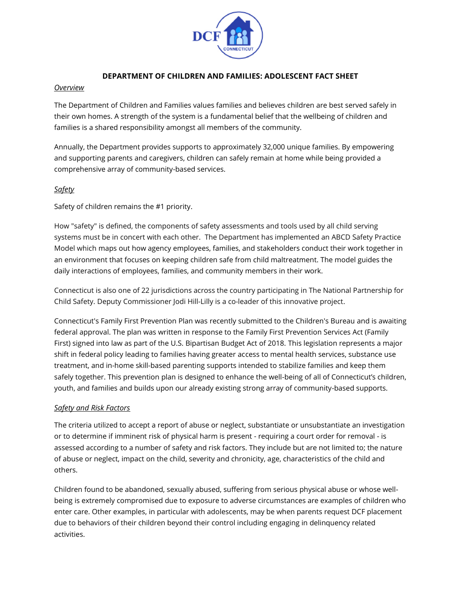

### **DEPARTMENT OF CHILDREN AND FAMILIES: ADOLESCENT FACT SHEET**

#### *Overview*

The Department of Children and Families values families and believes children are best served safely in their own homes. A strength of the system is a fundamental belief that the wellbeing of children and families is a shared responsibility amongst all members of the community.

Annually, the Department provides supports to approximately 32,000 unique families. By empowering and supporting parents and caregivers, children can safely remain at home while being provided a comprehensive array of community-based services.

### *Safety*

Safety of children remains the #1 priority.

How "safety" is defined, the components of safety assessments and tools used by all child serving systems must be in concert with each other. The Department has implemented an ABCD Safety Practice Model which maps out how agency employees, families, and stakeholders conduct their work together in an environment that focuses on keeping children safe from child maltreatment. The model guides the daily interactions of employees, families, and community members in their work.

Connecticut is also one of 22 jurisdictions across the country participating in The National Partnership for Child Safety. Deputy Commissioner Jodi Hill-Lilly is a co-leader of this innovative project.

Connecticut's Family First Prevention Plan was recently submitted to the Children's Bureau and is awaiting federal approval. The plan was written in response to the Family First Prevention Services Act (Family First) signed into law as part of the U.S. Bipartisan Budget Act of 2018. This legislation represents a major shift in federal policy leading to families having greater access to mental health services, substance use treatment, and in-home skill-based parenting supports intended to stabilize families and keep them safely together. This prevention plan is designed to enhance the well-being of all of Connecticut's children, youth, and families and builds upon our already existing strong array of community-based supports.

#### *Safety and Risk Factors*

The criteria utilized to accept a report of abuse or neglect, substantiate or unsubstantiate an investigation or to determine if imminent risk of physical harm is present - requiring a court order for removal - is assessed according to a number of safety and risk factors. They include but are not limited to; the nature of abuse or neglect, impact on the child, severity and chronicity, age, characteristics of the child and others.

Children found to be abandoned, sexually abused, suffering from serious physical abuse or whose wellbeing is extremely compromised due to exposure to adverse circumstances are examples of children who enter care. Other examples, in particular with adolescents, may be when parents request DCF placement due to behaviors of their children beyond their control including engaging in delinquency related activities.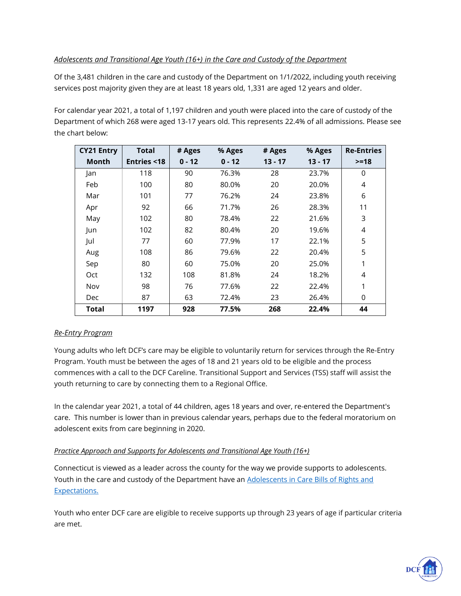# *Adolescents and Transitional Age Youth (16+) in the Care and Custody of the Department*

Of the 3,481 children in the care and custody of the Department on 1/1/2022, including youth receiving services post majority given they are at least 18 years old, 1,331 are aged 12 years and older.

For calendar year 2021, a total of 1,197 children and youth were placed into the care of custody of the Department of which 268 were aged 13-17 years old. This represents 22.4% of all admissions. Please see the chart below:

| <b>CY21 Entry</b> | <b>Total</b>          | # Ages   | % Ages   | # Ages    | % Ages    | <b>Re-Entries</b> |
|-------------------|-----------------------|----------|----------|-----------|-----------|-------------------|
| <b>Month</b>      | <b>Entries &lt;18</b> | $0 - 12$ | $0 - 12$ | $13 - 17$ | $13 - 17$ | $>=18$            |
| Jan               | 118                   | 90       | 76.3%    | 28        | 23.7%     | 0                 |
| Feb               | 100                   | 80       | 80.0%    | 20        | 20.0%     | 4                 |
| Mar               | 101                   | 77       | 76.2%    | 24        | 23.8%     | 6                 |
| Apr               | 92                    | 66       | 71.7%    | 26        | 28.3%     | 11                |
| May               | 102                   | 80       | 78.4%    | 22        | 21.6%     | 3                 |
| Jun               | 102                   | 82       | 80.4%    | 20        | 19.6%     | 4                 |
| Jul               | 77                    | 60       | 77.9%    | 17        | 22.1%     | 5                 |
| Aug               | 108                   | 86       | 79.6%    | 22        | 20.4%     | 5                 |
| Sep               | 80                    | 60       | 75.0%    | 20        | 25.0%     | 1                 |
| Oct               | 132                   | 108      | 81.8%    | 24        | 18.2%     | 4                 |
| Nov               | 98                    | 76       | 77.6%    | 22        | 22.4%     | 1                 |
| <b>Dec</b>        | 87                    | 63       | 72.4%    | 23        | 26.4%     | 0                 |
| Total             | 1197                  | 928      | 77.5%    | 268       | 22.4%     | 44                |

# *Re-Entry Program*

Young adults who left DCF's care may be eligible to voluntarily return for services through the Re-Entry Program. Youth must be between the ages of 18 and 21 years old to be eligible and the process commences with a call to the DCF Careline. Transitional Support and Services (TSS) staff will assist the youth returning to care by connecting them to a Regional Office.

In the calendar year 2021, a total of 44 children, ages 18 years and over, re-entered the Department's care. This number is lower than in previous calendar years, perhaps due to the federal moratorium on adolescent exits from care beginning in 2020.

## *Practice Approach and Supports for Adolescents and Transitional Age Youth (16+)*

Connecticut is viewed as a leader across the county for the way we provide supports to adolescents. Youth in the care and custody of the Department have an Adolescents in Care Bills of Rights and [Expectations.](https://portal.ct.gov/-/media/DCF/YAB/pdf/AdolescentsinCareBillofRightsandExpectationspdf.pdf)

Youth who enter DCF care are eligible to receive supports up through 23 years of age if particular criteria are met.

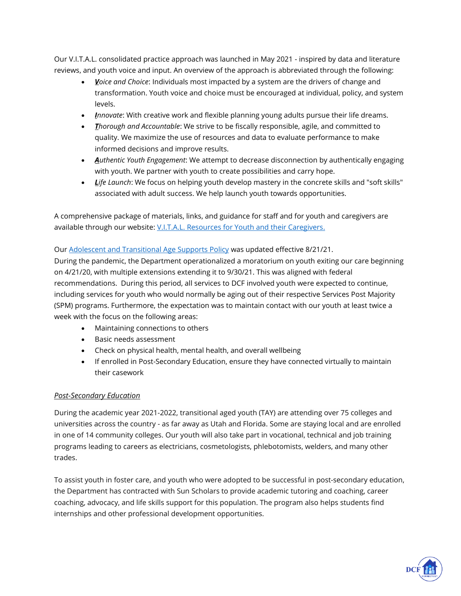Our V.I.T.A.L. consolidated practice approach was launched in May 2021 - inspired by data and literature reviews, and youth voice and input. An overview of the approach is abbreviated through the following:

- *<u>V</u>oice and Choice*: Individuals most impacted by a system are the drivers of change and transformation. Youth voice and choice must be encouraged at individual, policy, and system levels.
- *Innovate*: With creative work and flexible planning young adults pursue their life dreams.
- *Thorough and Accountable*: We strive to be fiscally responsible, agile, and committed to quality. We maximize the use of resources and data to evaluate performance to make informed decisions and improve results.
- *Authentic Youth Engagement*: We attempt to decrease disconnection by authentically engaging with youth. We partner with youth to create possibilities and carry hope.
- Life Launch: We focus on helping youth develop mastery in the concrete skills and "soft skills" associated with adult success. We help launch youth towards opportunities.

A comprehensive package of materials, links, and guidance for staff and for youth and caregivers are available through our website[: V.I.T.A.L. Resources for Youth and their Caregivers.](https://portal.ct.gov/DCF/Adolescent-Services/VITAL-Home)

## Ou[r Adolescent and Transitional Age Supports Policy](https://portal.ct.gov/-/media/DCF/Policy/Chapters/28-1-Adolescent-and-Transitional-Age-Supports.pdf) was updated effective 8/21/21.

During the pandemic, the Department operationalized a moratorium on youth exiting our care beginning on 4/21/20, with multiple extensions extending it to 9/30/21. This was aligned with federal recommendations. During this period, all services to DCF involved youth were expected to continue, including services for youth who would normally be aging out of their respective Services Post Majority (SPM) programs. Furthermore, the expectation was to maintain contact with our youth at least twice a week with the focus on the following areas:

- Maintaining connections to others
- Basic needs assessment
- Check on physical health, mental health, and overall wellbeing
- If enrolled in Post-Secondary Education, ensure they have connected virtually to maintain their casework

## *Post-Secondary Education*

During the academic year 2021-2022, transitional aged youth (TAY) are attending over 75 colleges and universities across the country - as far away as Utah and Florida. Some are staying local and are enrolled in one of 14 community colleges. Our youth will also take part in vocational, technical and job training programs leading to careers as electricians, cosmetologists, phlebotomists, welders, and many other trades.

To assist youth in foster care, and youth who were adopted to be successful in post-secondary education, the Department has contracted with Sun Scholars to provide academic tutoring and coaching, career coaching, advocacy, and life skills support for this population. The program also helps students find internships and other professional development opportunities.